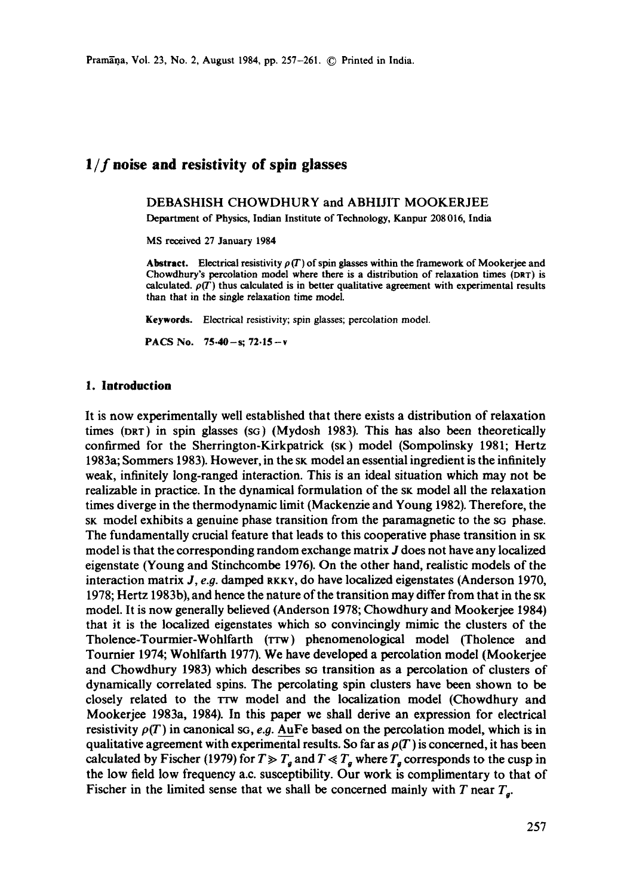# *1/f* **noise and resistivity of spin glasses**

## DEBASHISH CHOWDHURY and ABHIJIT MOOKERJEE

Department of Physics, Indian Institute of Technology, Kanpur 208 016, India

MS received 27 January 1984

Abstract. Electrical resistivity  $\rho(T)$  of spin glasses within the framework of Mookerjee and Chowdhury's percolation model where there is a distribution of relaxation times (DRT) is calculated,  $\rho(T)$  thus calculated is in better qualitative agreement with experimental results than that in the single relaxation time model.

**Keywords.** Electrical resistivity; spin glasses; percolation model.

PACS No.  $75-40-s$ ;  $72-15-v$ 

#### **1. Introduction**

It is now experimentally well established that there exists a distribution of relaxation times (DRT) in spin glasses (SG) (Mydosh 1983). This has also been theoretically confirmed for the Sherrington-Kirkpatrick (SK) model (Sompolinsky 1981; Hertz 1983a; Sommers 1983). However, in the SK model an essential ingredient is the infinitely weak, infinitely long-ranged interaction. This is an ideal situation which may not be realizable in practice. In the dynamical formulation of the sk model all the relaxation times diverge in the thermodynamic limit (Mackenzie and Young 1982). Therefore, the SK model exhibits a genuine phase transition from the paramagnetic to the so phase. The fundamentally crucial feature that leads to this cooperative phase transition in SK model is that the corresponding random exchange matrix  $J$  does not have any localized eigenstate (Young and Stinchcombe 1976). On the other hand, realistic models of the interaction matrix  $J$ , e.g. damped RKKY, do have localized eigenstates (Anderson 1970, 1978; Hertz 1983b), and hence the nature of the transition may differ from that in the sK model. It is now generally believed (Anderson 1978; Chowdhury and Mookerjee 1984) that it is the localized eigenstates which so convincingly mimic the clusters of the Tholence-Tourmier-Wohlfarth (TTW) phenomenological model (Tholence and Tournier 1974; Wohlfarth 1977). We have developed a percolation model (Mookerjee and Chowdhury 1983) which describes so transition as a percolation of clusters of dynamically correlated spins. The percolating spin clusters have been shown to be closely related to the  $TTw$  model and the localization model (Chowdhury and Mookerjee 1983a, 1984). In this paper we shall derive an expression for electrical resistivity  $\rho(T)$  in canonical so, e.g. AuFe based on the percolation model, which is in qualitative agreement with experimental results. So far as  $\rho(T)$  is concerned, it has been calculated by Fischer (1979) for  $T \gg T_a$  and  $T \ll T_a$  where  $T_a$  corresponds to the cusp in the low field low frequency a.c. susceptibility. Our work is complimentary to that of Fischer in the limited sense that we shall be concerned mainly with T near  $T<sub>a</sub>$ .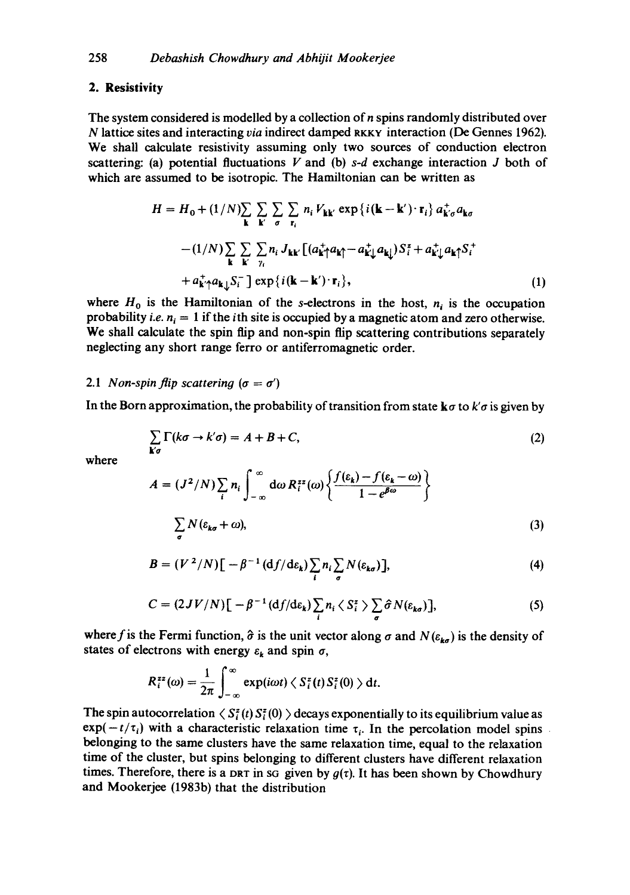## **2. Resistivity**

The system considered is modelled by a collection of n spins randomly distributed over N lattice sites and interacting *via* indirect damped RKKY interaction (De Gennes 1962). We shall calculate resistivity assuming only two sources of conduction electron scattering: (a) potential fluctuations  $V$  and (b)  $s-d$  exchange interaction  $J$  both of which are assumed to be isotropic. The Hamiltonian can be written as

$$
H = H_0 + (1/N)\sum_{\mathbf{k}} \sum_{\mathbf{k}'} \sum_{\sigma} \sum_{\mathbf{r}_i} n_i V_{\mathbf{k}\mathbf{k}'} \exp\{i(\mathbf{k} - \mathbf{k}') \cdot \mathbf{r}_i\} a_{\mathbf{k}'\sigma}^+ a_{\mathbf{k}\sigma}
$$
  

$$
- (1/N)\sum_{\mathbf{k}} \sum_{\mathbf{k}'} \sum_{\gamma_i} n_i J_{\mathbf{k}\mathbf{k}'} \left[ (a_{\mathbf{k}\uparrow}^+ a_{\mathbf{k}\uparrow}^+ - a_{\mathbf{k}\downarrow}^+ a_{\mathbf{k}\downarrow}^+) S_i^+ + a_{\mathbf{k}'\uparrow}^+ a_{\mathbf{k}\downarrow} S_i^+ + a_{\mathbf{k}'\uparrow}^+ a_{\mathbf{k}\downarrow} S_i^- \right] \exp\{i(\mathbf{k} - \mathbf{k}') \cdot \mathbf{r}_i\}, \tag{1}
$$

where  $H_0$  is the Hamiltonian of the s-electrons in the host,  $n_i$  is the occupation probability *i.e.*  $n_i = 1$  if the *i*th site is occupied by a magnetic atom and zero otherwise. We shall calculate the spin flip and non-spin flip scattering contributions separately neglecting any short range ferro or antiferromagnetic order.

## 2.1 *Non-spin flip scattering*  $(\sigma = \sigma')$

**cr** 

In the Born approximation, the probability of transition from state  $\mathbf{k}\sigma$  to  $\mathbf{k}'\sigma$  is given by

$$
\sum_{\mathbf{k}\sigma} \Gamma(k\sigma \to k'\sigma) = A + B + C,\tag{2}
$$

where

$$
A = (J^2/N) \sum_{i} n_i \int_{-\infty}^{\infty} d\omega R_i^{zz}(\omega) \left\{ \frac{f(\varepsilon_k) - f(\varepsilon_k - \omega)}{1 - e^{\beta \omega}} \right\}
$$
  

$$
\sum N(\varepsilon_{k\sigma} + \omega), \tag{3}
$$

$$
B = (V^2/N)\big[-\beta^{-1}\left(\frac{df}{d\varepsilon_k}\right)\sum_i n_i \sum_{\sigma} N(\varepsilon_{k\sigma})\big],\tag{4}
$$

$$
C = (2JV/N)\big[-\beta^{-1}(\mathrm{d}f/\mathrm{d}\varepsilon_k)\sum_i n_i \langle S_i^z \rangle \sum_{\sigma} \hat{\sigma} N(\varepsilon_{k\sigma})\big],\tag{5}
$$

where f is the Fermi function,  $\hat{\sigma}$  is the unit vector along  $\sigma$  and  $N(\varepsilon_{k\sigma})$  is the density of states of electrons with energy  $\varepsilon_k$  and spin  $\sigma$ ,

$$
R_i^{zz}(\omega)=\frac{1}{2\pi}\int_{-\infty}^{\infty}\exp(i\omega t)\langle S_i^z(t)S_i^z(0)\rangle dt.
$$

The spin autocorrelation  $\langle S_i^z(t) S_i^z(0) \rangle$  decays exponentially to its equilibrium value as  $exp(-t/\tau_i)$  with a characteristic relaxation time  $\tau_i$ . In the percolation model spins belonging to the same clusters have the same relaxation time, equal to the relaxation time of the cluster, but spins belonging to different clusters have different relaxation times. Therefore, there is a DRT in SG given by  $g(\tau)$ . It has been shown by Chowdhury and Mookerjee (1983b) that the distribution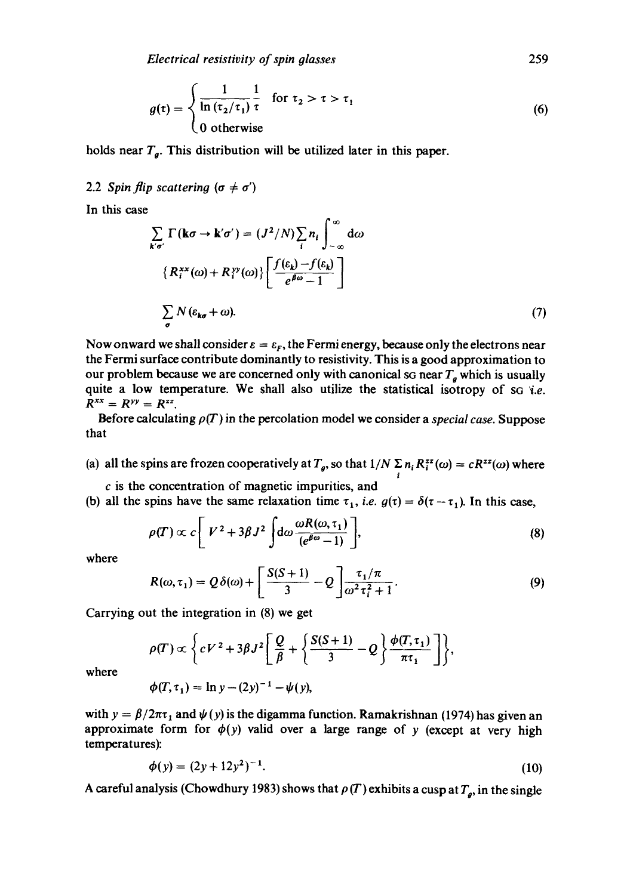$$
g(\tau) = \begin{cases} \frac{1}{\ln(\tau_2/\tau_1)} \frac{1}{\tau} & \text{for } \tau_2 > \tau > \tau_1 \\ 0 & \text{otherwise} \end{cases}
$$
 (6)

holds near  $T<sub>g</sub>$ . This distribution will be utilized later in this paper.

## 2.2 *Spin flip scattering*  $(\sigma \neq \sigma')$

In this case

$$
\sum_{\mathbf{k}\sigma'} \Gamma(\mathbf{k}\sigma \to \mathbf{k}'\sigma') = (J^2/N) \sum_i n_i \int_{-\infty}^{\infty} d\omega
$$
  

$$
\{R_i^{xx}(\omega) + R_i^{yy}(\omega)\} \left[ \frac{f(\varepsilon_k) - f(\varepsilon_k)}{e^{\beta \omega} - 1} \right]
$$
  

$$
\sum_{\sigma} N(\varepsilon_{\mathbf{k}\sigma} + \omega).
$$
 (7)

Now onward we shall consider  $\varepsilon = \varepsilon_F$ , the Fermi energy, because only the electrons near the Fermi surface contribute dominantly to resistivity. This is a good approximation to our problem because we are concerned only with canonical so near  $T<sub>g</sub>$  which is usually quite a low temperature. We shall also utilize the statistical isotropy of  $sG$  i.e.  $R^{xx} = R^{yy} = R^{zz}$ .

Before calculating  $\rho(T)$  in the percolation model we consider a *special case*. Suppose that

(a) all the spins are frozen cooperatively at  $T_q$ , so that  $1/N \sum n_i R_i^{zz}(\omega) = cR^{zz}(\omega)$  where i

 $c$  is the concentration of magnetic impurities, and

(b) all the spins have the same relaxation time  $\tau_1$ , *i.e.*  $g(\tau) = \delta(\tau - \tau_1)$ . In this case,

$$
\rho(T) \propto c \left[ V^2 + 3\beta J^2 \int d\omega \frac{\omega R(\omega, \tau_1)}{(e^{\beta \omega} - 1)} \right],
$$
\n(8)

where

$$
R(\omega, \tau_1) = Q \delta(\omega) + \left[ \frac{S(S+1)}{3} - Q \right] \frac{\tau_1/\pi}{\omega^2 \tau_i^2 + 1}.
$$
 (9)

Carrying out the integration in (8) we get

$$
\rho(T) \propto \bigg\{ cV^2 + 3\beta J^2 \bigg[ \frac{Q}{\beta} + \bigg\{ \frac{S(S+1)}{3} - Q \bigg\} \frac{\phi(T,\tau_1)}{\pi \tau_1} \bigg] \bigg\},
$$

where

$$
\phi(T, \tau_1) = \ln y - (2y)^{-1} - \psi(y),
$$

with  $y = \beta/2\pi\tau_1$  and  $\psi(y)$  is the digamma function. Ramakrishnan (1974) has given an approximate form for  $\phi(y)$  valid over a large range of y (except at very high temperatures):

$$
\phi(y) = (2y + 12y^2)^{-1}.\tag{10}
$$

A careful analysis (Chowdhury 1983) shows that  $\rho(T)$  exhibits a cusp at  $T_g$ , in the single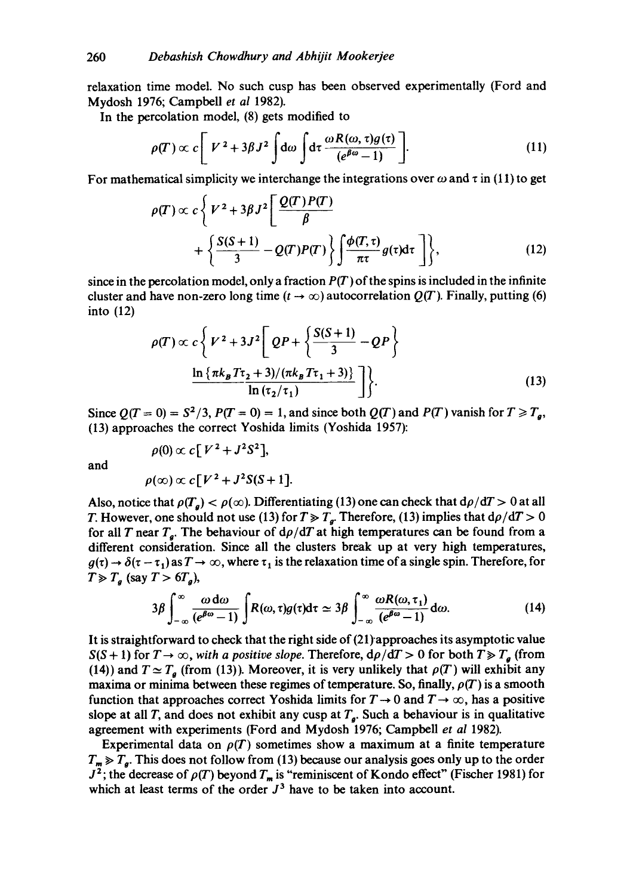relaxation time model. No such cusp has been observed experimentally (Ford and Mydosh 1976; Campbell *et al* 1982).

In the percolation model, (8) gets modified to

$$
\rho(T) \propto c \left[ V^2 + 3\beta J^2 \int d\omega \int d\tau \frac{\omega R(\omega, \tau) g(\tau)}{(e^{\beta \omega} - 1)} \right].
$$
 (11)

For mathematical simplicity we interchange the integrations over  $\omega$  and  $\tau$  in (11) to get

$$
\rho(T) \propto c \left\{ V^2 + 3\beta J^2 \left[ \frac{Q(T) P(T)}{\beta} + \left\{ \frac{S(S+1)}{3} - Q(T)P(T) \right\} \int \frac{\phi(T,\tau)}{\pi \tau} g(\tau) d\tau \right] \right\},
$$
\n(12)

since in the percolation model, only a fraction  $P(T)$  of the spins is included in the infinite cluster and have non-zero long time  $(t \to \infty)$  autocorrelation  $Q(T)$ . Finally, putting (6) into (12)

$$
\rho(T) \propto c \left\{ V^2 + 3J^2 \left[ QP + \left\{ \frac{S(S+1)}{3} - QP \right\} \right] \right\}
$$
  

$$
\frac{\ln \left\{ \frac{\pi k_B T \tau_2 + 3}{\ln (\tau_2/\tau_1)} \right\}}{\ln (\tau_2/\tau_1)} \right\}.
$$
 (13)

Since  $Q(T = 0) = S^2/3$ ,  $P(T = 0) = 1$ , and since both  $Q(T)$  and  $P(T)$  vanish for  $T \ge T_a$ , (13) approaches the correct Yoshida limits (Yoshida 1957):

and

$$
\rho(0) \propto c \left[ V^2 + J^2 S^2 \right],
$$
  
 
$$
\rho(\infty) \propto c \left[ V^2 + J^2 S(S+1) \right].
$$

Also, notice that  $\rho(T_a) < \rho(\infty)$ . Differentiating (13) one can check that  $d\rho/dT > 0$  at all T. However, one should not use (13) for  $T \gg T_g$ . Therefore, (13) implies that  $d\rho/dT > 0$ for all T near  $T<sub>a</sub>$ . The behaviour of  $d\rho/dT$  at high temperatures can be found from a different consideration. Since all the clusters break up at very high temperatures,  $g(\tau) \to \delta(\tau - \tau_1)$  as  $T \to \infty$ , where  $\tau_1$  is the relaxation time of a single spin. Therefore, for  $T \gg T_a$  (say  $T > 6T_a$ ),

$$
3\beta \int_{-\infty}^{\infty} \frac{\omega \, d\omega}{(e^{\beta \omega} - 1)} \int R(\omega, \tau) g(\tau) d\tau \simeq 3\beta \int_{-\infty}^{\infty} \frac{\omega R(\omega, \tau_1)}{(e^{\beta \omega} - 1)} d\omega. \tag{14}
$$

It is straightforward to check that the right side of  $(21)$  approaches its asymptotic value *S(S + 1)* for  $T \rightarrow \infty$ , with a positive slope. Therefore,  $d\rho/dT > 0$  for both  $T \gg T_a$  (from (14)) and  $T \simeq T_a$  (from (13)). Moreover, it is very unlikely that  $\rho(T)$  will exhibit any maxima or minima between these regimes of temperature. So, finally,  $\rho(T)$  is a smooth function that approaches correct Yoshida limits for  $T \rightarrow 0$  and  $T \rightarrow \infty$ , has a positive slope at all T, and does not exhibit any cusp at  $T<sub>a</sub>$ . Such a behaviour is in qualitative agreement with experiments (Ford and Mydosh 1976; Campbell *et al* 1982).

Experimental data on  $\rho(T)$  sometimes show a maximum at a finite temperature  $T_m \gg T_g$ . This does not follow from (13) because our analysis goes only up to the order  $J^2$ ; the decrease of  $\rho(T)$  beyond  $T_m$  is "reminiscent of Kondo effect" (Fischer 1981) for which at least terms of the order  $J<sup>3</sup>$  have to be taken into account.